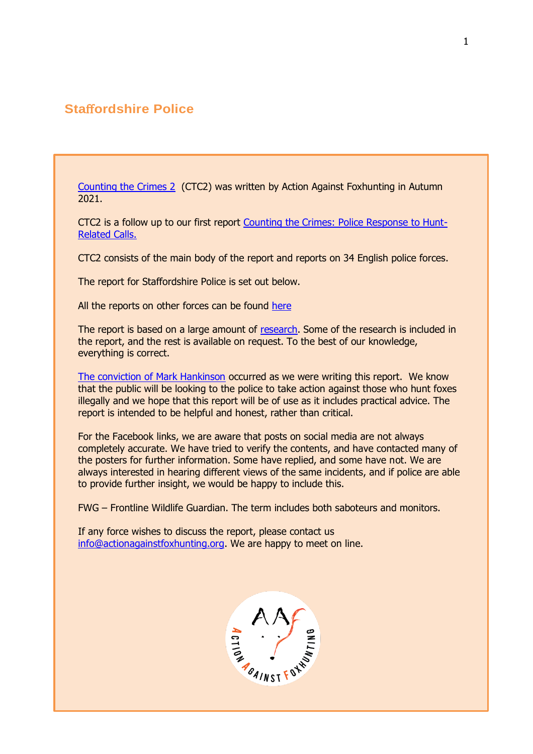# **Sta**ff**ordshire Police**

[Counting the Crimes 2](https://www.actionagainstfoxhunting.org/counting-the-crimes2-the-police-response/) (CTC2) was written by Action Against Foxhunting in Autumn 2021.

CTC2 is a follow up to our first report [Counting the Crimes: Police Response to Hunt-](https://www.actionagainstfoxhunting.org/counting-the-crimes/)[Related Calls.](https://www.actionagainstfoxhunting.org/counting-the-crimes/)

CTC2 consists of the main body of the report and reports on 34 English police forces.

The report for Staffordshire Police is set out below.

All the reports on other forces can be found [here](https://www.actionagainstfoxhunting.org/counting-the-crimes2-the-police-response/)

The report is based on a large amount of [research.](https://www.actionagainstfoxhunting.org/wp-content/uploads/2021/11/A-1411-Research-for-CTC2.pdf) Some of the research is included in the report, and the rest is available on request. To the best of our knowledge, everything is correct.

[The conviction of Mark Hankinson](https://www.league.org.uk/news-and-resources/news/hunting-office-webinars-the-road-to-conviction/) occurred as we were writing this report. We know that the public will be looking to the police to take action against those who hunt foxes illegally and we hope that this report will be of use as it includes practical advice. The report is intended to be helpful and honest, rather than critical.

For the Facebook links, we are aware that posts on social media are not always completely accurate. We have tried to verify the contents, and have contacted many of the posters for further information. Some have replied, and some have not. We are always interested in hearing different views of the same incidents, and if police are able to provide further insight, we would be happy to include this.

FWG – Frontline Wildlife Guardian. The term includes both saboteurs and monitors.

If any force wishes to discuss the report, please contact us [info@actionagainstfoxhunting.org.](mailto:info@actionagainstfoxhunting.org) We are happy to meet on line.

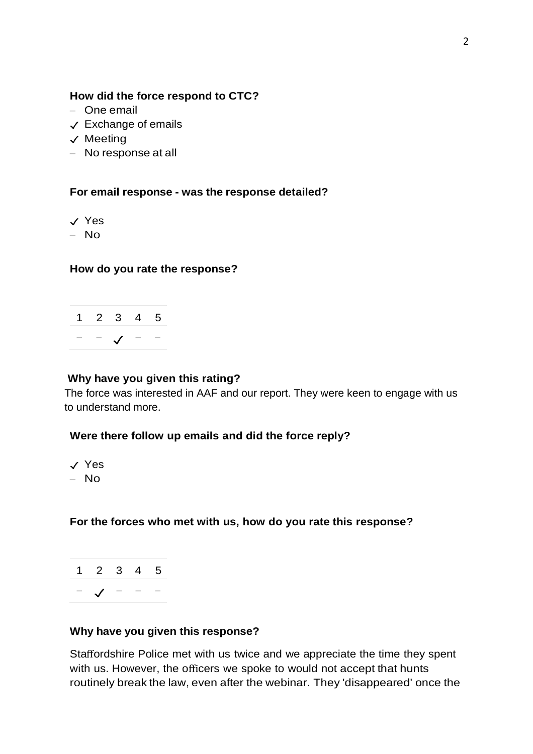#### **How did the force respond to CTC?**

- One email
- ✓ Exchange of emails
- ✓ Meeting
- No response at all

**For email response - was the response detailed?**

✓ Yes

– No

#### **How do you rate the response?**



#### **Why have you given this rating?**

The force was interested in AAF and our report. They were keen to engage with us to understand more.

#### **Were there follow up emails and did the force reply?**

✓ Yes  $-$  No.

#### **For the forces who met with us, how do you rate this response?**

1 2 3 4 5 − ✓ − − −

#### **Why have you given this response?**

Staffordshire Police met with us twice and we appreciate the time they spent with us. However, the officers we spoke to would not accept that hunts routinely break the law, even after the webinar. They 'disappeared' once the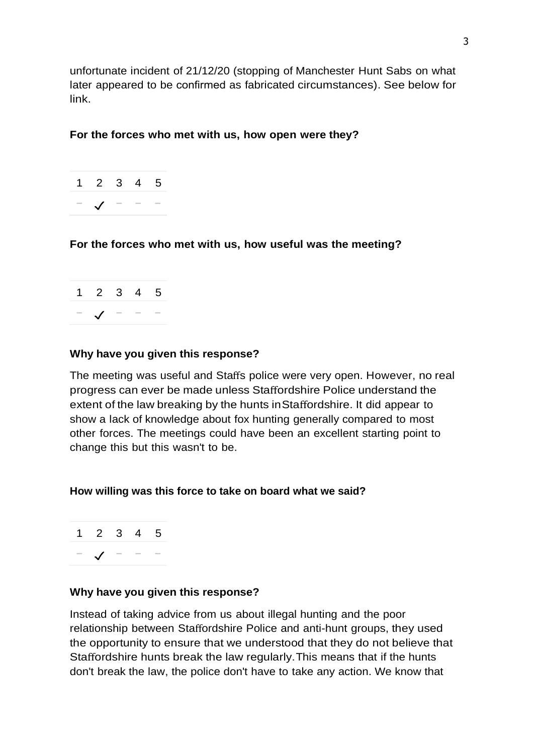unfortunate incident of 21/12/20 (stopping of Manchester Hunt Sabs on what later appeared to be confirmed as fabricated circumstances). See below for link.

#### **For the forces who met with us, how open were they?**



## **For the forces who met with us, how useful was the meeting?**

| $1\quad 2\quad 3\quad 4\quad 5$ |  |  |
|---------------------------------|--|--|
| $\mathcal{L}$ –                 |  |  |

#### **Why have you given this response?**

The meeting was useful and Staffs police were very open. However, no real progress can ever be made unless Staffordshire Police understand the extent of the law breaking by the hunts inStaffordshire. It did appear to show a lack of knowledge about fox hunting generally compared to most other forces. The meetings could have been an excellent starting point to change this but this wasn't to be.

#### **How willing was this force to take on board what we said?**

1 2 3 4 5 − ✓ − − −

#### **Why have you given this response?**

Instead of taking advice from us about illegal hunting and the poor relationship between Staffordshire Police and anti-hunt groups, they used the opportunity to ensure that we understood that they do not believe that Staffordshire hunts break the law regularly.This means that if the hunts don't break the law, the police don't have to take any action. We know that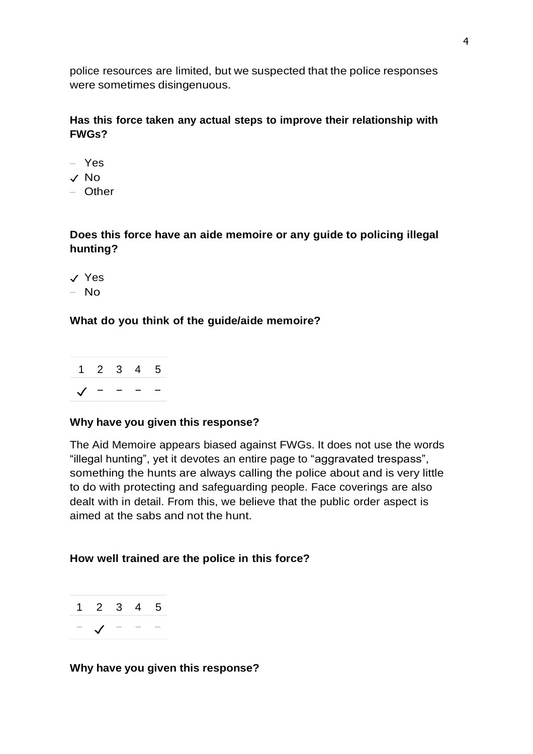police resources are limited, but we suspected that the police responses were sometimes disingenuous.

# **Has this force taken any actual steps to improve their relationship with FWGs?**

- Yes
- ✓ No
- Other

## **Does this force have an aide memoire or any guide to policing illegal hunting?**

✓ Yes  $-$  No

# **What do you think of the guide/aide memoire?**



#### **Why have you given this response?**

The Aid Memoire appears biased against FWGs. It does not use the words "illegal hunting", yet it devotes an entire page to "aggravated trespass", something the hunts are always calling the police about and is very little to do with protecting and safeguarding people. Face coverings are also dealt with in detail. From this, we believe that the public order aspect is aimed at the sabs and not the hunt.

#### **How well trained are the police in this force?**



#### **Why have you given this response?**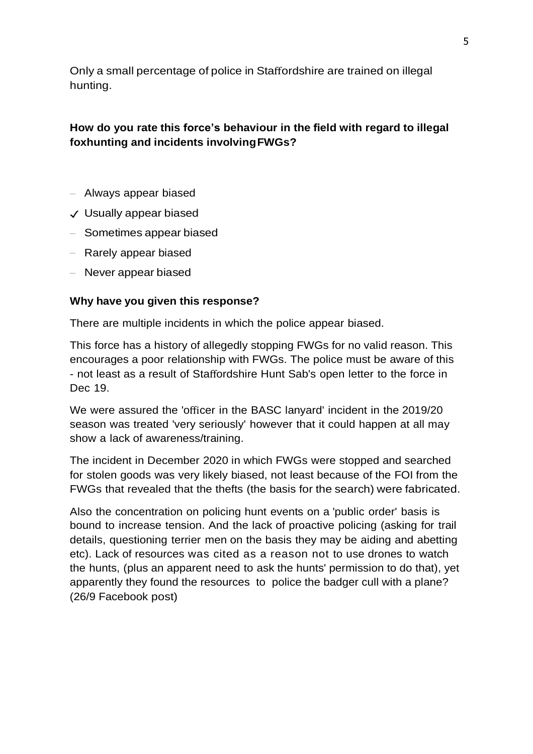Only a small percentage of police in Staffordshire are trained on illegal hunting.

# **How do you rate this force's behaviour in the field with regard to illegal foxhunting and incidents involvingFWGs?**

- Always appear biased
- ✓ Usually appear biased
- Sometimes appear biased
- Rarely appear biased
- Never appear biased

## **Why have you given this response?**

There are multiple incidents in which the police appear biased.

This force has a history of allegedly stopping FWGs for no valid reason. This encourages a poor relationship with FWGs. The police must be aware of this - not least as a result of Staffordshire Hunt Sab's open letter to the force in Dec 19.

We were assured the 'officer in the BASC lanyard' incident in the 2019/20 season was treated 'very seriously' however that it could happen at all may show a lack of awareness/training.

The incident in December 2020 in which FWGs were stopped and searched for stolen goods was very likely biased, not least because of the FOI from the FWGs that revealed that the thefts (the basis for the search) were fabricated.

Also the concentration on policing hunt events on a 'public order' basis is bound to increase tension. And the lack of proactive policing (asking for trail details, questioning terrier men on the basis they may be aiding and abetting etc). Lack of resources was cited as a reason not to use drones to watch the hunts, (plus an apparent need to ask the hunts' permission to do that), yet apparently they found the resources to police the badger cull with a plane? (26/9 Facebook post)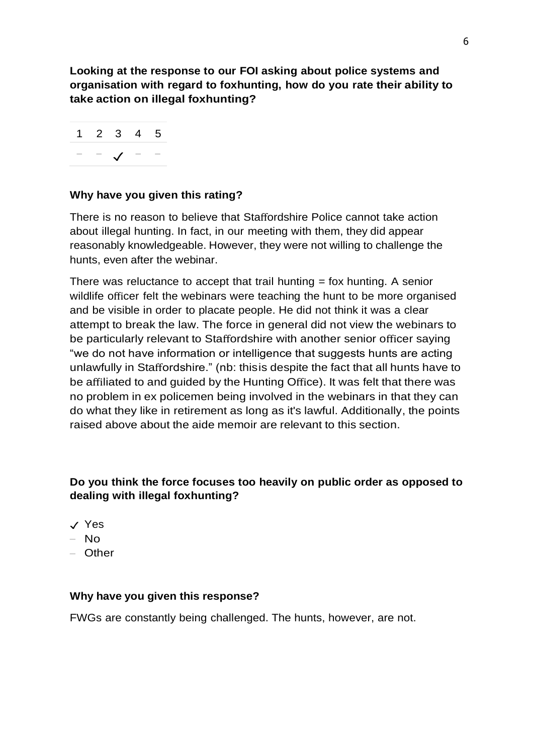**Looking at the response to our FOI asking about police systems and organisation with regard to foxhunting, how do you rate their ability to take action on illegal foxhunting?**

|  | $1\quad 2\quad 3\quad 4\quad 5$ |  |
|--|---------------------------------|--|
|  |                                 |  |

## **Why have you given this rating?**

There is no reason to believe that Staffordshire Police cannot take action about illegal hunting. In fact, in our meeting with them, they did appear reasonably knowledgeable. However, they were not willing to challenge the hunts, even after the webinar.

There was reluctance to accept that trail hunting  $=$  fox hunting. A senior wildlife officer felt the webinars were teaching the hunt to be more organised and be visible in order to placate people. He did not think it was a clear attempt to break the law. The force in general did not view the webinars to be particularly relevant to Staffordshire with another senior officer saying "we do not have information or intelligence that suggests hunts are acting unlawfully in Staffordshire." (nb: thisis despite the fact that all hunts have to be affiliated to and guided by the Hunting Office). It was felt that there was no problem in ex policemen being involved in the webinars in that they can do what they like in retirement as long as it's lawful. Additionally, the points raised above about the aide memoir are relevant to this section.

## **Do you think the force focuses too heavily on public order as opposed to dealing with illegal foxhunting?**

- ✓ Yes
- No
- Other

#### **Why have you given this response?**

FWGs are constantly being challenged. The hunts, however, are not.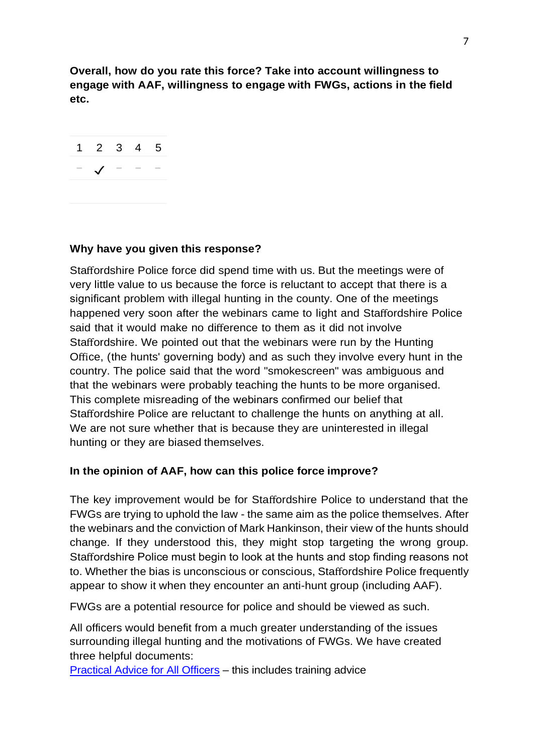**Overall, how do you rate this force? Take into account willingness to engage with AAF, willingness to engage with FWGs, actions in the field etc.**



## **Why have you given this response?**

Staffordshire Police force did spend time with us. But the meetings were of very little value to us because the force is reluctant to accept that there is a significant problem with illegal hunting in the county. One of the meetings happened very soon after the webinars came to light and Staffordshire Police said that it would make no difference to them as it did not involve Staffordshire. We pointed out that the webinars were run by the Hunting Office, (the hunts' governing body) and as such they involve every hunt in the country. The police said that the word "smokescreen" was ambiguous and that the webinars were probably teaching the hunts to be more organised. This complete misreading of the webinars confirmed our belief that Staffordshire Police are reluctant to challenge the hunts on anything at all. We are not sure whether that is because they are uninterested in illegal hunting or they are biased themselves.

## **In the opinion of AAF, how can this police force improve?**

The key improvement would be for Staffordshire Police to understand that the FWGs are trying to uphold the law - the same aim as the police themselves. After the webinars and the conviction of Mark Hankinson, their view of the hunts should change. If they understood this, they might stop targeting the wrong group. Staffordshire Police must begin to look at the hunts and stop finding reasons not to. Whether the bias is unconscious or conscious, Staffordshire Police frequently appear to show it when they encounter an anti-hunt group (including AAF).

FWGs are a potential resource for police and should be viewed as such.

All officers would benefit from a much greater understanding of the issues surrounding illegal hunting and the motivations of FWGs. We have created three helpful documents:

[Practical Advice for All Officers](https://www.actionagainstfoxhunting.org/wp-content/uploads/2021/11/B-1411-Practical-Advice-for-all-Police-Forces.pdf) – this includes training advice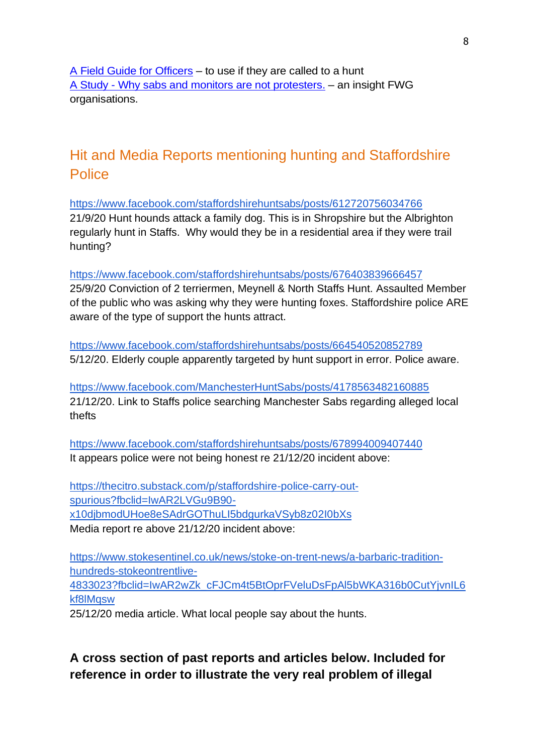[A Field Guide for Officers](https://www.actionagainstfoxhunting.org/wp-content/uploads/2021/11/A-1411-FIELD-GUIDE-ILLEGAL-FOXHUNTING.pdf) – to use if they are called to a hunt A Study - [Why sabs and monitors are not protesters.](https://www.actionagainstfoxhunting.org/wp-content/uploads/2021/11/A-1411-Why-sabs-and-monitors-arent-protesters.pdf) – an insight FWG organisations.

# Hit and Media Reports mentioning hunting and Staffordshire Police

<https://www.facebook.com/staffordshirehuntsabs/posts/612720756034766> 21/9/20 Hunt hounds attack a family dog. This is in Shropshire but the Albrighton regularly hunt in Staffs. Why would they be in a residential area if they were trail hunting?

<https://www.facebook.com/staffordshirehuntsabs/posts/676403839666457> 25/9/20 Conviction of 2 terriermen, Meynell & North Staffs Hunt. Assaulted Member

of the public who was asking why they were hunting foxes. Staffordshire police ARE aware of the type of support the hunts attract.

<https://www.facebook.com/staffordshirehuntsabs/posts/664540520852789> 5/12/20. Elderly couple apparently targeted by hunt support in error. Police aware.

<https://www.facebook.com/ManchesterHuntSabs/posts/4178563482160885> 21/12/20. Link to Staffs police searching Manchester Sabs regarding alleged local thefts

<https://www.facebook.com/staffordshirehuntsabs/posts/678994009407440> It appears police were not being honest re 21/12/20 incident above:

[https://thecitro.substack.com/p/staffordshire-police-carry-out](https://thecitro.substack.com/p/staffordshire-police-carry-out-spurious?fbclid=IwAR2LVGu9B90-x10djbmodUHoe8eSAdrGOThuLI5bdgurkaVSyb8z02I0bXs)[spurious?fbclid=IwAR2LVGu9B90](https://thecitro.substack.com/p/staffordshire-police-carry-out-spurious?fbclid=IwAR2LVGu9B90-x10djbmodUHoe8eSAdrGOThuLI5bdgurkaVSyb8z02I0bXs) [x10djbmodUHoe8eSAdrGOThuLI5bdgurkaVSyb8z02I0bXs](https://thecitro.substack.com/p/staffordshire-police-carry-out-spurious?fbclid=IwAR2LVGu9B90-x10djbmodUHoe8eSAdrGOThuLI5bdgurkaVSyb8z02I0bXs) Media report re above 21/12/20 incident above:

[https://www.stokesentinel.co.uk/news/stoke-on-trent-news/a-barbaric-tradition](https://www.stokesentinel.co.uk/news/stoke-on-trent-news/a-barbaric-tradition-hundreds-stokeontrentlive-4833023?fbclid=IwAR2wZk_cFJCm4t5BtOprFVeluDsFpAl5bWKA316b0CutYjvnIL6kf8lMqsw)[hundreds-stokeontrentlive-](https://www.stokesentinel.co.uk/news/stoke-on-trent-news/a-barbaric-tradition-hundreds-stokeontrentlive-4833023?fbclid=IwAR2wZk_cFJCm4t5BtOprFVeluDsFpAl5bWKA316b0CutYjvnIL6kf8lMqsw)[4833023?fbclid=IwAR2wZk\\_cFJCm4t5BtOprFVeluDsFpAl5bWKA316b0CutYjvnIL6](https://www.stokesentinel.co.uk/news/stoke-on-trent-news/a-barbaric-tradition-hundreds-stokeontrentlive-4833023?fbclid=IwAR2wZk_cFJCm4t5BtOprFVeluDsFpAl5bWKA316b0CutYjvnIL6kf8lMqsw)

[kf8lMqsw](https://www.stokesentinel.co.uk/news/stoke-on-trent-news/a-barbaric-tradition-hundreds-stokeontrentlive-4833023?fbclid=IwAR2wZk_cFJCm4t5BtOprFVeluDsFpAl5bWKA316b0CutYjvnIL6kf8lMqsw)

25/12/20 media article. What local people say about the hunts.

# **A cross section of past reports and articles below. Included for reference in order to illustrate the very real problem of illegal**